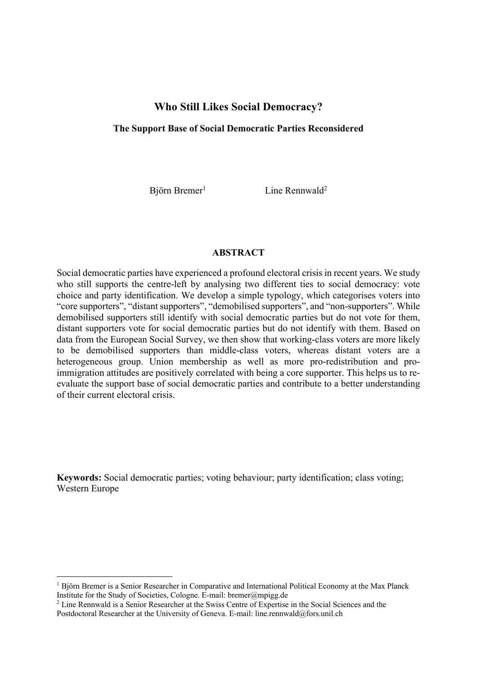# **Who Still Likes Social Democracy?**

## **The Support Base of Social Democratic Parties Reconsidered**

Biörn Bremer<sup>1</sup>

 $\text{Line}$  Rennwald<sup>2</sup>

## **ABSTRACT**

Social democratic parties have experienced a profound electoral crisis in recent years. We study who still supports the centre-left by analysing two different ties to social democracy: vote choice and party identification. We develop a simple typology, which categorises voters into "core supporters", "distant supporters", "demobilised supporters", and "non-supporters". While demobilised supporters still identify with social democratic parties but do not vote for them, distant supporters vote for social democratic parties but do not identify with them. Based on data from the European Social Survey, we then show that working-class voters are more likely to be demobilised supporters than middle-class voters, whereas distant voters are a heterogeneous group. Union membership as well as more pro-redistribution and proimmigration attitudes are positively correlated with being a core supporter. This helps us to reevaluate the support base of social democratic parties and contribute to a better understanding of their current electoral crisis.

**Keywords:** Social democratic parties; voting behaviour; party identification; class voting; Western Europe

 $<sup>1</sup>$  Björn Bremer is a Senior Researcher in Comparative and International Political Economy at the Max Planck</sup> Institute for the Study of Societies, Cologne. E-mail: bremer@mpigg.de

<sup>2</sup> Line Rennwald is a Senior Researcher at the Swiss Centre of Expertise in the Social Sciences and the Postdoctoral Researcher at the University of Geneva. E-mail: line.rennwald@fors.unil.ch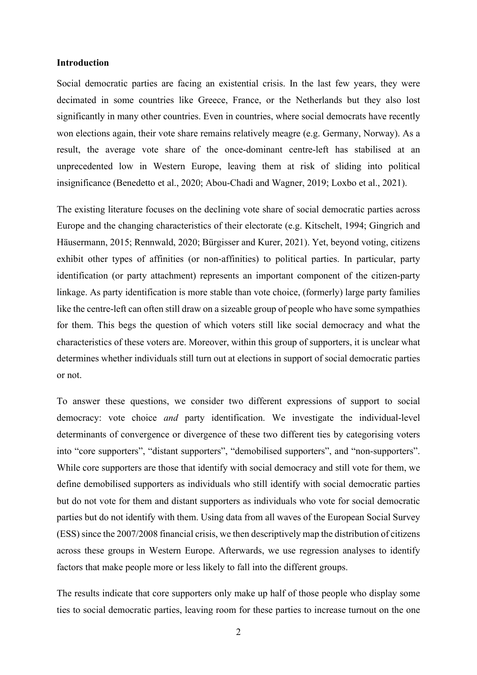## **Introduction**

Social democratic parties are facing an existential crisis. In the last few years, they were decimated in some countries like Greece, France, or the Netherlands but they also lost significantly in many other countries. Even in countries, where social democrats have recently won elections again, their vote share remains relatively meagre (e.g. Germany, Norway). As a result, the average vote share of the once-dominant centre-left has stabilised at an unprecedented low in Western Europe, leaving them at risk of sliding into political insignificance (Benedetto et al., 2020; Abou-Chadi and Wagner, 2019; Loxbo et al., 2021).

The existing literature focuses on the declining vote share of social democratic parties across Europe and the changing characteristics of their electorate (e.g. Kitschelt, 1994; Gingrich and Häusermann, 2015; Rennwald, 2020; Bürgisser and Kurer, 2021). Yet, beyond voting, citizens exhibit other types of affinities (or non-affinities) to political parties. In particular, party identification (or party attachment) represents an important component of the citizen-party linkage. As party identification is more stable than vote choice, (formerly) large party families like the centre-left can often still draw on a sizeable group of people who have some sympathies for them. This begs the question of which voters still like social democracy and what the characteristics of these voters are. Moreover, within this group of supporters, it is unclear what determines whether individuals still turn out at elections in support of social democratic parties or not.

To answer these questions, we consider two different expressions of support to social democracy: vote choice *and* party identification. We investigate the individual-level determinants of convergence or divergence of these two different ties by categorising voters into "core supporters", "distant supporters", "demobilised supporters", and "non-supporters". While core supporters are those that identify with social democracy and still vote for them, we define demobilised supporters as individuals who still identify with social democratic parties but do not vote for them and distant supporters as individuals who vote for social democratic parties but do not identify with them. Using data from all waves of the European Social Survey (ESS) since the 2007/2008 financial crisis, we then descriptively map the distribution of citizens across these groups in Western Europe. Afterwards, we use regression analyses to identify factors that make people more or less likely to fall into the different groups.

The results indicate that core supporters only make up half of those people who display some ties to social democratic parties, leaving room for these parties to increase turnout on the one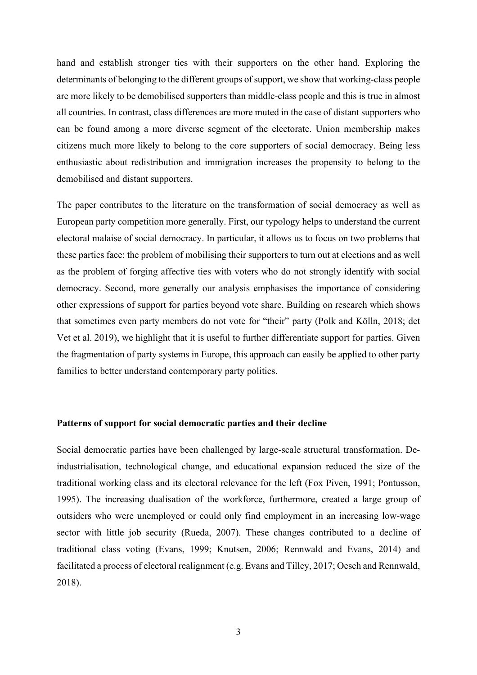hand and establish stronger ties with their supporters on the other hand. Exploring the determinants of belonging to the different groups of support, we show that working-class people are more likely to be demobilised supporters than middle-class people and this is true in almost all countries. In contrast, class differences are more muted in the case of distant supporters who can be found among a more diverse segment of the electorate. Union membership makes citizens much more likely to belong to the core supporters of social democracy. Being less enthusiastic about redistribution and immigration increases the propensity to belong to the demobilised and distant supporters.

The paper contributes to the literature on the transformation of social democracy as well as European party competition more generally. First, our typology helps to understand the current electoral malaise of social democracy. In particular, it allows us to focus on two problems that these parties face: the problem of mobilising their supporters to turn out at elections and as well as the problem of forging affective ties with voters who do not strongly identify with social democracy. Second, more generally our analysis emphasises the importance of considering other expressions of support for parties beyond vote share. Building on research which shows that sometimes even party members do not vote for "their" party (Polk and Kölln, 2018; det Vet et al. 2019), we highlight that it is useful to further differentiate support for parties. Given the fragmentation of party systems in Europe, this approach can easily be applied to other party families to better understand contemporary party politics.

## **Patterns of support for social democratic parties and their decline**

Social democratic parties have been challenged by large-scale structural transformation. Deindustrialisation, technological change, and educational expansion reduced the size of the traditional working class and its electoral relevance for the left (Fox Piven, 1991; Pontusson, 1995). The increasing dualisation of the workforce, furthermore, created a large group of outsiders who were unemployed or could only find employment in an increasing low-wage sector with little job security (Rueda, 2007). These changes contributed to a decline of traditional class voting (Evans, 1999; Knutsen, 2006; Rennwald and Evans, 2014) and facilitated a process of electoral realignment (e.g. Evans and Tilley, 2017; Oesch and Rennwald, 2018).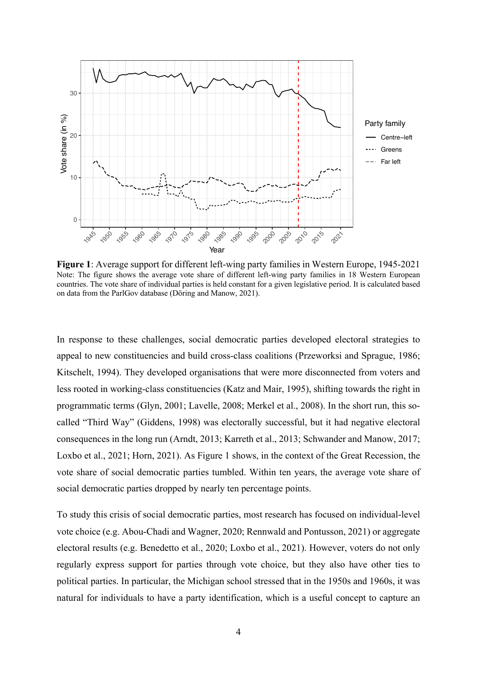

**Figure 1**: Average support for different left-wing party families in Western Europe, 1945-2021 Note: The figure shows the average vote share of different left-wing party families in 18 Western European countries. The vote share of individual parties is held constant for a given legislative period. It is calculated based on data from the ParlGov database (Döring and Manow, 2021).

In response to these challenges, social democratic parties developed electoral strategies to appeal to new constituencies and build cross-class coalitions (Przeworksi and Sprague, 1986; Kitschelt, 1994). They developed organisations that were more disconnected from voters and less rooted in working-class constituencies (Katz and Mair, 1995), shifting towards the right in programmatic terms (Glyn, 2001; Lavelle, 2008; Merkel et al., 2008). In the short run, this socalled "Third Way" (Giddens, 1998) was electorally successful, but it had negative electoral consequences in the long run (Arndt, 2013; Karreth et al., 2013; Schwander and Manow, 2017; Loxbo et al., 2021; Horn, 2021). As Figure 1 shows, in the context of the Great Recession, the vote share of social democratic parties tumbled. Within ten years, the average vote share of social democratic parties dropped by nearly ten percentage points.

To study this crisis of social democratic parties, most research has focused on individual-level vote choice (e.g. Abou-Chadi and Wagner, 2020; Rennwald and Pontusson, 2021) or aggregate electoral results (e.g. Benedetto et al., 2020; Loxbo et al., 2021). However, voters do not only regularly express support for parties through vote choice, but they also have other ties to political parties. In particular, the Michigan school stressed that in the 1950s and 1960s, it was natural for individuals to have a party identification, which is a useful concept to capture an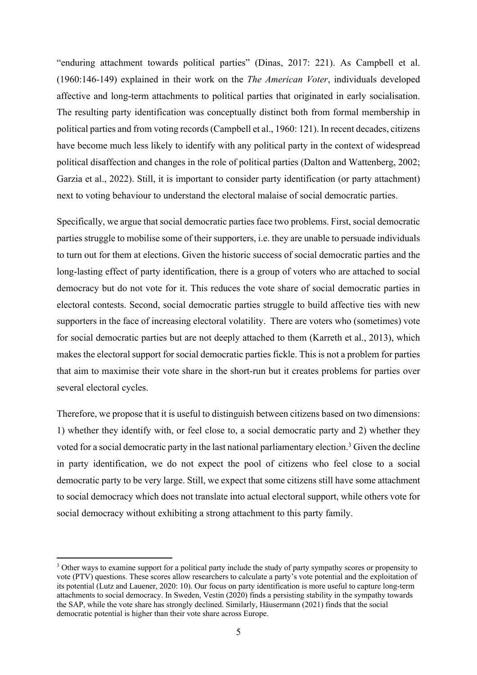"enduring attachment towards political parties" (Dinas, 2017: 221). As Campbell et al. (1960:146-149) explained in their work on the *The American Voter*, individuals developed affective and long-term attachments to political parties that originated in early socialisation. The resulting party identification was conceptually distinct both from formal membership in political parties and from voting records(Campbell et al., 1960: 121). In recent decades, citizens have become much less likely to identify with any political party in the context of widespread political disaffection and changes in the role of political parties (Dalton and Wattenberg, 2002; Garzia et al., 2022). Still, it is important to consider party identification (or party attachment) next to voting behaviour to understand the electoral malaise of social democratic parties.

Specifically, we argue that social democratic parties face two problems. First, social democratic parties struggle to mobilise some of their supporters, i.e. they are unable to persuade individuals to turn out for them at elections. Given the historic success of social democratic parties and the long-lasting effect of party identification, there is a group of voters who are attached to social democracy but do not vote for it. This reduces the vote share of social democratic parties in electoral contests. Second, social democratic parties struggle to build affective ties with new supporters in the face of increasing electoral volatility. There are voters who (sometimes) vote for social democratic parties but are not deeply attached to them (Karreth et al., 2013), which makes the electoral support for social democratic parties fickle. This is not a problem for parties that aim to maximise their vote share in the short-run but it creates problems for parties over several electoral cycles.

Therefore, we propose that it is useful to distinguish between citizens based on two dimensions: 1) whether they identify with, or feel close to, a social democratic party and 2) whether they voted for a social democratic party in the last national parliamentary election.3 Given the decline in party identification, we do not expect the pool of citizens who feel close to a social democratic party to be very large. Still, we expect that some citizens still have some attachment to social democracy which does not translate into actual electoral support, while others vote for social democracy without exhibiting a strong attachment to this party family.

<sup>&</sup>lt;sup>3</sup> Other ways to examine support for a political party include the study of party sympathy scores or propensity to vote (PTV) questions. These scores allow researchers to calculate a party's vote potential and the exploitation of its potential (Lutz and Lauener, 2020: 10). Our focus on party identification is more useful to capture long-term attachments to social democracy. In Sweden, Vestin (2020) finds a persisting stability in the sympathy towards the SAP, while the vote share has strongly declined. Similarly, Häusermann (2021) finds that the social democratic potential is higher than their vote share across Europe.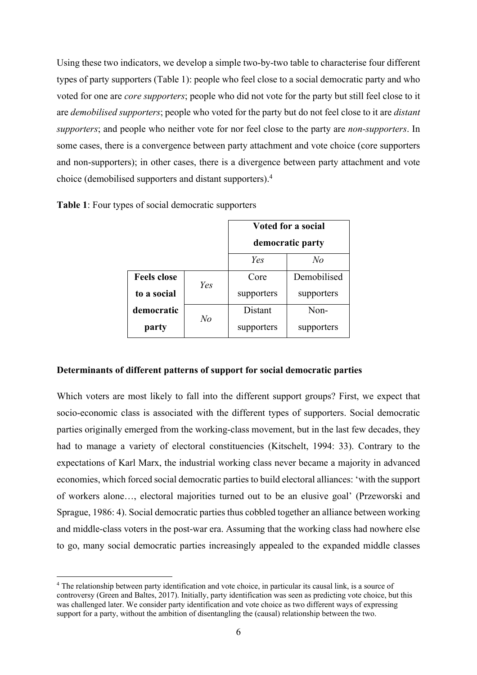Using these two indicators, we develop a simple two-by-two table to characterise four different types of party supporters (Table 1): people who feel close to a social democratic party and who voted for one are *core supporters*; people who did not vote for the party but still feel close to it are *demobilised supporters*; people who voted for the party but do not feel close to it are *distant supporters*; and people who neither vote for nor feel close to the party are *non-supporters*. In some cases, there is a convergence between party attachment and vote choice (core supporters and non-supporters); in other cases, there is a divergence between party attachment and vote choice (demobilised supporters and distant supporters). 4

|                    |                | <b>Voted for a social</b> |             |  |
|--------------------|----------------|---------------------------|-------------|--|
|                    |                | democratic party          |             |  |
|                    |                | Yes                       | $N_{O}$     |  |
| <b>Feels close</b> | Yes            | Core                      | Demobilised |  |
| to a social        |                | supporters                | supporters  |  |
| democratic         | N <sub>o</sub> | Distant                   | Non-        |  |
| party              |                | supporters                | supporters  |  |

**Table 1**: Four types of social democratic supporters

## **Determinants of different patterns of support for social democratic parties**

Which voters are most likely to fall into the different support groups? First, we expect that socio-economic class is associated with the different types of supporters. Social democratic parties originally emerged from the working-class movement, but in the last few decades, they had to manage a variety of electoral constituencies (Kitschelt, 1994: 33). Contrary to the expectations of Karl Marx, the industrial working class never became a majority in advanced economies, which forced social democratic parties to build electoral alliances: 'with the support of workers alone…, electoral majorities turned out to be an elusive goal' (Przeworski and Sprague, 1986: 4). Social democratic parties thus cobbled together an alliance between working and middle-class voters in the post-war era. Assuming that the working class had nowhere else to go, many social democratic parties increasingly appealed to the expanded middle classes

<sup>4</sup> The relationship between party identification and vote choice, in particular its causal link, is a source of controversy (Green and Baltes, 2017). Initially, party identification was seen as predicting vote choice, but this was challenged later. We consider party identification and vote choice as two different ways of expressing support for a party, without the ambition of disentangling the (causal) relationship between the two.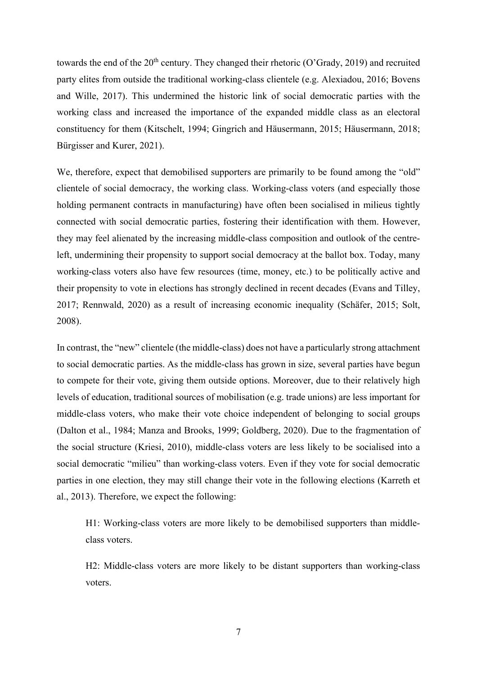towards the end of the  $20<sup>th</sup>$  century. They changed their rhetoric (O'Grady, 2019) and recruited party elites from outside the traditional working-class clientele (e.g. Alexiadou, 2016; Bovens and Wille, 2017). This undermined the historic link of social democratic parties with the working class and increased the importance of the expanded middle class as an electoral constituency for them (Kitschelt, 1994; Gingrich and Häusermann, 2015; Häusermann, 2018; Bürgisser and Kurer, 2021).

We, therefore, expect that demobilised supporters are primarily to be found among the "old" clientele of social democracy, the working class. Working-class voters (and especially those holding permanent contracts in manufacturing) have often been socialised in milieus tightly connected with social democratic parties, fostering their identification with them. However, they may feel alienated by the increasing middle-class composition and outlook of the centreleft, undermining their propensity to support social democracy at the ballot box. Today, many working-class voters also have few resources (time, money, etc.) to be politically active and their propensity to vote in elections has strongly declined in recent decades (Evans and Tilley, 2017; Rennwald, 2020) as a result of increasing economic inequality (Schäfer, 2015; Solt, 2008).

In contrast, the "new" clientele (the middle-class) does not have a particularly strong attachment to social democratic parties. As the middle-class has grown in size, several parties have begun to compete for their vote, giving them outside options. Moreover, due to their relatively high levels of education, traditional sources of mobilisation (e.g. trade unions) are less important for middle-class voters, who make their vote choice independent of belonging to social groups (Dalton et al., 1984; Manza and Brooks, 1999; Goldberg, 2020). Due to the fragmentation of the social structure (Kriesi, 2010), middle-class voters are less likely to be socialised into a social democratic "milieu" than working-class voters. Even if they vote for social democratic parties in one election, they may still change their vote in the following elections (Karreth et al., 2013). Therefore, we expect the following:

H1: Working-class voters are more likely to be demobilised supporters than middleclass voters.

H2: Middle-class voters are more likely to be distant supporters than working-class voters.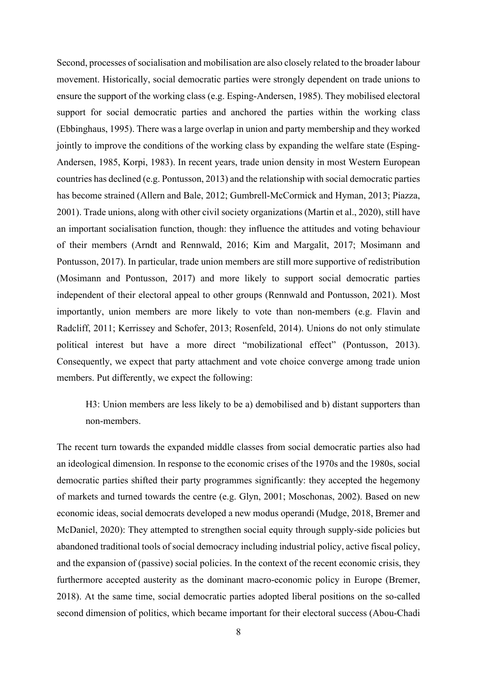Second, processes of socialisation and mobilisation are also closely related to the broader labour movement. Historically, social democratic parties were strongly dependent on trade unions to ensure the support of the working class (e.g. Esping-Andersen, 1985). They mobilised electoral support for social democratic parties and anchored the parties within the working class (Ebbinghaus, 1995). There was a large overlap in union and party membership and they worked jointly to improve the conditions of the working class by expanding the welfare state (Esping-Andersen, 1985, Korpi, 1983). In recent years, trade union density in most Western European countries has declined (e.g. Pontusson, 2013) and the relationship with social democratic parties has become strained (Allern and Bale, 2012; Gumbrell-McCormick and Hyman, 2013; Piazza, 2001). Trade unions, along with other civil society organizations (Martin et al., 2020), still have an important socialisation function, though: they influence the attitudes and voting behaviour of their members (Arndt and Rennwald, 2016; Kim and Margalit, 2017; Mosimann and Pontusson, 2017). In particular, trade union members are still more supportive of redistribution (Mosimann and Pontusson, 2017) and more likely to support social democratic parties independent of their electoral appeal to other groups (Rennwald and Pontusson, 2021). Most importantly, union members are more likely to vote than non-members (e.g. Flavin and Radcliff, 2011; Kerrissey and Schofer, 2013; Rosenfeld, 2014). Unions do not only stimulate political interest but have a more direct "mobilizational effect" (Pontusson, 2013). Consequently, we expect that party attachment and vote choice converge among trade union members. Put differently, we expect the following:

H3: Union members are less likely to be a) demobilised and b) distant supporters than non-members.

The recent turn towards the expanded middle classes from social democratic parties also had an ideological dimension. In response to the economic crises of the 1970s and the 1980s, social democratic parties shifted their party programmes significantly: they accepted the hegemony of markets and turned towards the centre (e.g. Glyn, 2001; Moschonas, 2002). Based on new economic ideas, social democrats developed a new modus operandi (Mudge, 2018, Bremer and McDaniel, 2020): They attempted to strengthen social equity through supply-side policies but abandoned traditional tools of social democracy including industrial policy, active fiscal policy, and the expansion of (passive) social policies. In the context of the recent economic crisis, they furthermore accepted austerity as the dominant macro-economic policy in Europe (Bremer, 2018). At the same time, social democratic parties adopted liberal positions on the so-called second dimension of politics, which became important for their electoral success (Abou-Chadi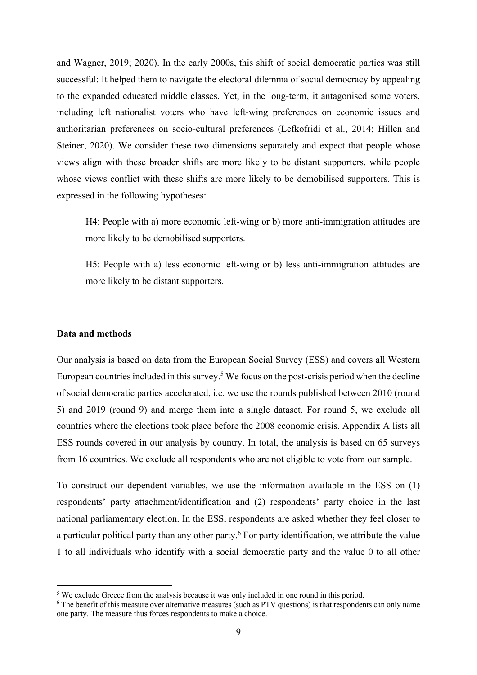and Wagner, 2019; 2020). In the early 2000s, this shift of social democratic parties was still successful: It helped them to navigate the electoral dilemma of social democracy by appealing to the expanded educated middle classes. Yet, in the long-term, it antagonised some voters, including left nationalist voters who have left-wing preferences on economic issues and authoritarian preferences on socio-cultural preferences (Lefkofridi et al., 2014; Hillen and Steiner, 2020). We consider these two dimensions separately and expect that people whose views align with these broader shifts are more likely to be distant supporters, while people whose views conflict with these shifts are more likely to be demobilised supporters. This is expressed in the following hypotheses:

H4: People with a) more economic left-wing or b) more anti-immigration attitudes are more likely to be demobilised supporters.

H5: People with a) less economic left-wing or b) less anti-immigration attitudes are more likely to be distant supporters.

#### **Data and methods**

Our analysis is based on data from the European Social Survey (ESS) and covers all Western European countries included in this survey. <sup>5</sup> We focus on the post-crisis period when the decline of social democratic parties accelerated, i.e. we use the rounds published between 2010 (round 5) and 2019 (round 9) and merge them into a single dataset. For round 5, we exclude all countries where the elections took place before the 2008 economic crisis. Appendix A lists all ESS rounds covered in our analysis by country. In total, the analysis is based on 65 surveys from 16 countries. We exclude all respondents who are not eligible to vote from our sample.

To construct our dependent variables, we use the information available in the ESS on (1) respondents' party attachment/identification and (2) respondents' party choice in the last national parliamentary election. In the ESS, respondents are asked whether they feel closer to a particular political party than any other party.<sup>6</sup> For party identification, we attribute the value 1 to all individuals who identify with a social democratic party and the value 0 to all other

 $<sup>5</sup>$  We exclude Greece from the analysis because it was only included in one round in this period.</sup>

<sup>&</sup>lt;sup>6</sup> The benefit of this measure over alternative measures (such as PTV questions) is that respondents can only name one party. The measure thus forces respondents to make a choice.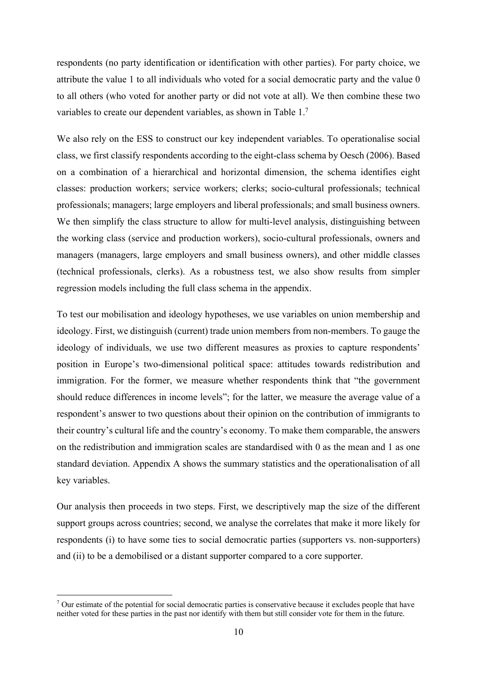respondents (no party identification or identification with other parties). For party choice, we attribute the value 1 to all individuals who voted for a social democratic party and the value 0 to all others (who voted for another party or did not vote at all). We then combine these two variables to create our dependent variables, as shown in Table 1.7

We also rely on the ESS to construct our key independent variables. To operationalise social class, we first classify respondents according to the eight-class schema by Oesch (2006). Based on a combination of a hierarchical and horizontal dimension, the schema identifies eight classes: production workers; service workers; clerks; socio-cultural professionals; technical professionals; managers; large employers and liberal professionals; and small business owners. We then simplify the class structure to allow for multi-level analysis, distinguishing between the working class (service and production workers), socio-cultural professionals, owners and managers (managers, large employers and small business owners), and other middle classes (technical professionals, clerks). As a robustness test, we also show results from simpler regression models including the full class schema in the appendix.

To test our mobilisation and ideology hypotheses, we use variables on union membership and ideology. First, we distinguish (current) trade union members from non-members. To gauge the ideology of individuals, we use two different measures as proxies to capture respondents' position in Europe's two-dimensional political space: attitudes towards redistribution and immigration. For the former, we measure whether respondents think that "the government should reduce differences in income levels"; for the latter, we measure the average value of a respondent's answer to two questions about their opinion on the contribution of immigrants to their country's cultural life and the country's economy. To make them comparable, the answers on the redistribution and immigration scales are standardised with 0 as the mean and 1 as one standard deviation. Appendix A shows the summary statistics and the operationalisation of all key variables.

Our analysis then proceeds in two steps. First, we descriptively map the size of the different support groups across countries; second, we analyse the correlates that make it more likely for respondents (i) to have some ties to social democratic parties (supporters vs. non-supporters) and (ii) to be a demobilised or a distant supporter compared to a core supporter.

<sup>&</sup>lt;sup>7</sup> Our estimate of the potential for social democratic parties is conservative because it excludes people that have neither voted for these parties in the past nor identify with them but still consider vote for them in the future.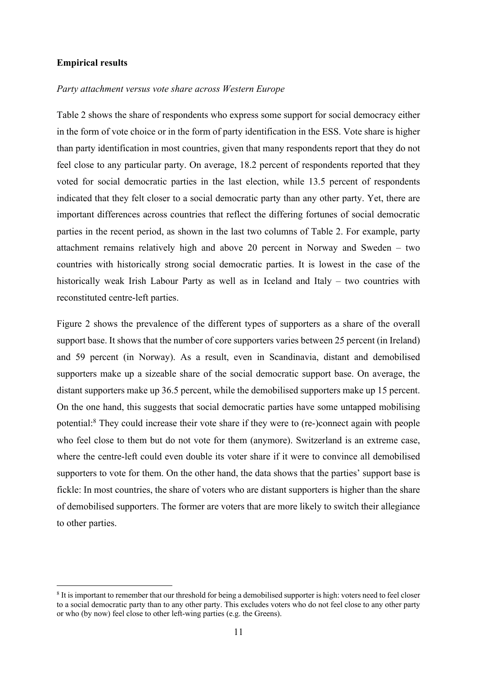## **Empirical results**

## *Party attachment versus vote share across Western Europe*

Table 2 shows the share of respondents who express some support for social democracy either in the form of vote choice or in the form of party identification in the ESS. Vote share is higher than party identification in most countries, given that many respondents report that they do not feel close to any particular party. On average, 18.2 percent of respondents reported that they voted for social democratic parties in the last election, while 13.5 percent of respondents indicated that they felt closer to a social democratic party than any other party. Yet, there are important differences across countries that reflect the differing fortunes of social democratic parties in the recent period, as shown in the last two columns of Table 2. For example, party attachment remains relatively high and above 20 percent in Norway and Sweden – two countries with historically strong social democratic parties. It is lowest in the case of the historically weak Irish Labour Party as well as in Iceland and Italy – two countries with reconstituted centre-left parties.

Figure 2 shows the prevalence of the different types of supporters as a share of the overall support base. It shows that the number of core supporters varies between 25 percent (in Ireland) and 59 percent (in Norway). As a result, even in Scandinavia, distant and demobilised supporters make up a sizeable share of the social democratic support base. On average, the distant supporters make up 36.5 percent, while the demobilised supporters make up 15 percent. On the one hand, this suggests that social democratic parties have some untapped mobilising potential: <sup>8</sup> They could increase their vote share if they were to (re-)connect again with people who feel close to them but do not vote for them (anymore). Switzerland is an extreme case, where the centre-left could even double its voter share if it were to convince all demobilised supporters to vote for them. On the other hand, the data shows that the parties' support base is fickle: In most countries, the share of voters who are distant supporters is higher than the share of demobilised supporters. The former are voters that are more likely to switch their allegiance to other parties.

<sup>&</sup>lt;sup>8</sup> It is important to remember that our threshold for being a demobilised supporter is high: voters need to feel closer to a social democratic party than to any other party. This excludes voters who do not feel close to any other party or who (by now) feel close to other left-wing parties (e.g. the Greens).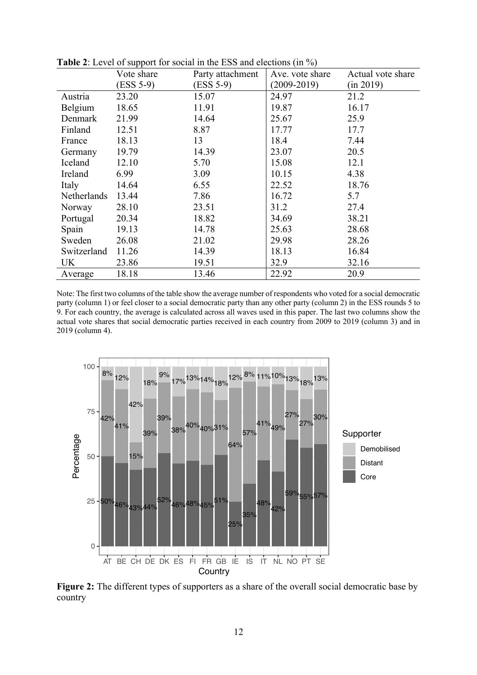|             | . .<br>Vote share | Party attachment | Ave. vote share | Actual vote share |
|-------------|-------------------|------------------|-----------------|-------------------|
|             | (ESS 5-9)         | $(ESS 5-9)$      | $(2009 - 2019)$ | (in 2019)         |
| Austria     | 23.20             | 15.07            | 24.97           | 21.2              |
| Belgium     | 18.65             | 11.91            | 19.87           | 16.17             |
| Denmark     | 21.99             | 14.64            | 25.67           | 25.9              |
| Finland     | 12.51             | 8.87             | 17.77           | 17.7              |
| France      | 18.13             | 13               | 18.4            | 7.44              |
| Germany     | 19.79             | 14.39            | 23.07           | 20.5              |
| Iceland     | 12.10             | 5.70             | 15.08           | 12.1              |
| Ireland     | 6.99              | 3.09             | 10.15           | 4.38              |
| Italy       | 14.64             | 6.55             | 22.52           | 18.76             |
| Netherlands | 13.44             | 7.86             | 16.72           | 5.7               |
| Norway      | 28.10             | 23.51            | 31.2            | 27.4              |
| Portugal    | 20.34             | 18.82            | 34.69           | 38.21             |
| Spain       | 19.13             | 14.78            | 25.63           | 28.68             |
| Sweden      | 26.08             | 21.02            | 29.98           | 28.26             |
| Switzerland | 11.26             | 14.39            | 18.13           | 16.84             |
| UK          | 23.86             | 19.51            | 32.9            | 32.16             |
| Average     | 18.18             | 13.46            | 22.92           | 20.9              |

**Table 2**: Level of support for social in the ESS and elections (in %)

Note: The first two columns of the table show the average number of respondents who voted for a social democratic party (column 1) or feel closer to a social democratic party than any other party (column 2) in the ESS rounds 5 to 9. For each country, the average is calculated across all waves used in this paper. The last two columns show the actual vote shares that social democratic parties received in each country from 2009 to 2019 (column 3) and in 2019 (column 4).



**Figure 2:** The different types of supporters as a share of the overall social democratic base by country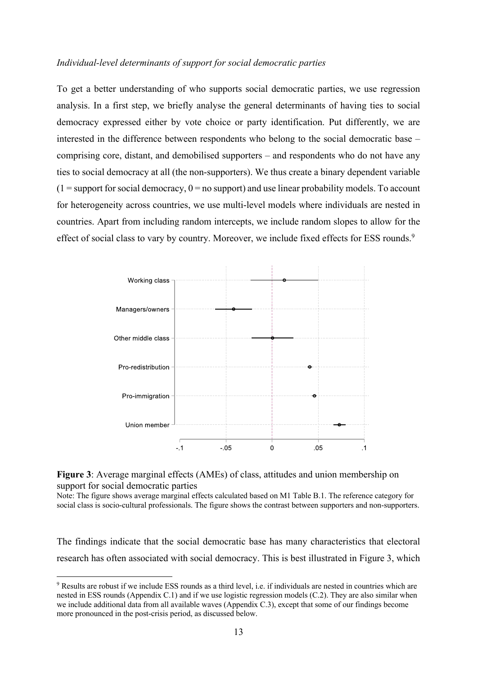## *Individual-level determinants of support for social democratic parties*

To get a better understanding of who supports social democratic parties, we use regression analysis. In a first step, we briefly analyse the general determinants of having ties to social democracy expressed either by vote choice or party identification. Put differently, we are interested in the difference between respondents who belong to the social democratic base – comprising core, distant, and demobilised supporters – and respondents who do not have any ties to social democracy at all (the non-supporters). We thus create a binary dependent variable  $(1 =$  support for social democracy,  $0 =$  no support) and use linear probability models. To account for heterogeneity across countries, we use multi-level models where individuals are nested in countries. Apart from including random intercepts, we include random slopes to allow for the effect of social class to vary by country. Moreover, we include fixed effects for ESS rounds.<sup>9</sup>



**Figure 3**: Average marginal effects (AMEs) of class, attitudes and union membership on support for social democratic parties

Note: The figure shows average marginal effects calculated based on M1 Table B.1. The reference category for social class is socio-cultural professionals. The figure shows the contrast between supporters and non-supporters.

The findings indicate that the social democratic base has many characteristics that electoral research has often associated with social democracy. This is best illustrated in Figure 3, which

<sup>9</sup> Results are robust if we include ESS rounds as a third level, i.e. if individuals are nested in countries which are nested in ESS rounds (Appendix C.1) and if we use logistic regression models (C.2). They are also similar when we include additional data from all available waves (Appendix C.3), except that some of our findings become more pronounced in the post-crisis period, as discussed below.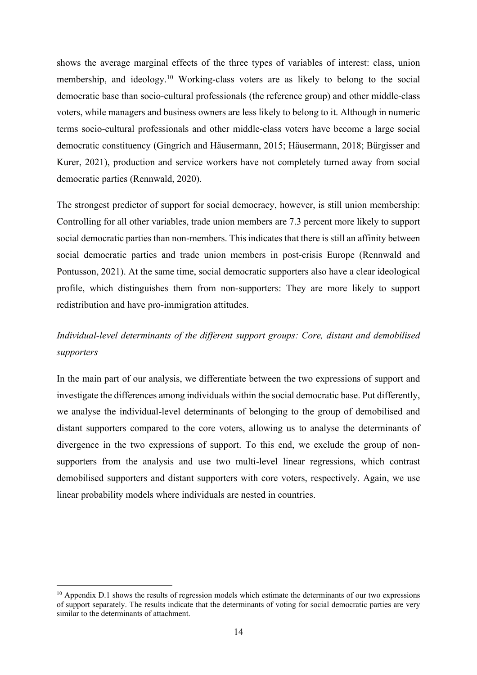shows the average marginal effects of the three types of variables of interest: class, union membership, and ideology.10 Working-class voters are as likely to belong to the social democratic base than socio-cultural professionals (the reference group) and other middle-class voters, while managers and business owners are less likely to belong to it. Although in numeric terms socio-cultural professionals and other middle-class voters have become a large social democratic constituency (Gingrich and Häusermann, 2015; Häusermann, 2018; Bürgisser and Kurer, 2021), production and service workers have not completely turned away from social democratic parties (Rennwald, 2020).

The strongest predictor of support for social democracy, however, is still union membership: Controlling for all other variables, trade union members are 7.3 percent more likely to support social democratic parties than non-members. This indicates that there is still an affinity between social democratic parties and trade union members in post-crisis Europe (Rennwald and Pontusson, 2021). At the same time, social democratic supporters also have a clear ideological profile, which distinguishes them from non-supporters: They are more likely to support redistribution and have pro-immigration attitudes.

# *Individual-level determinants of the different support groups: Core, distant and demobilised supporters*

In the main part of our analysis, we differentiate between the two expressions of support and investigate the differences among individuals within the social democratic base. Put differently, we analyse the individual-level determinants of belonging to the group of demobilised and distant supporters compared to the core voters, allowing us to analyse the determinants of divergence in the two expressions of support. To this end, we exclude the group of nonsupporters from the analysis and use two multi-level linear regressions, which contrast demobilised supporters and distant supporters with core voters, respectively. Again, we use linear probability models where individuals are nested in countries.

<sup>&</sup>lt;sup>10</sup> Appendix D.1 shows the results of regression models which estimate the determinants of our two expressions of support separately. The results indicate that the determinants of voting for social democratic parties are very similar to the determinants of attachment.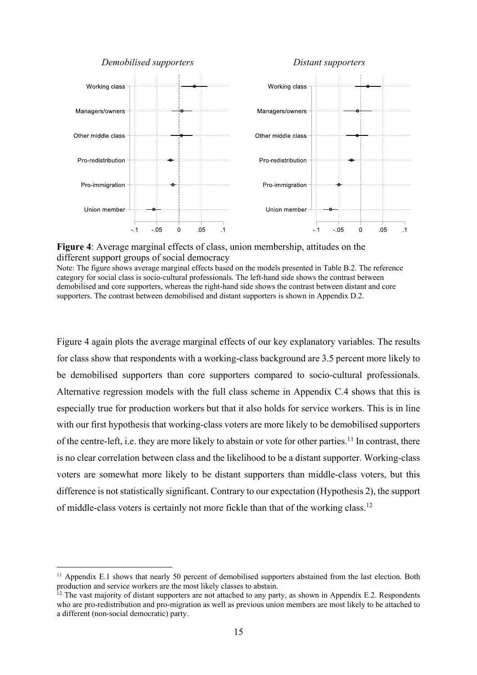#### *Demobilised supporters Distant supporters*



**Figure 4**: Average marginal effects of class, union membership, attitudes on the different support groups of social democracy

Note: The figure shows average marginal effects based on the models presented in Table B.2. The reference category for social class is socio-cultural professionals. The left-hand side shows the contrast between demobilised and core supporters, whereas the right-hand side shows the contrast between distant and core supporters. The contrast between demobilised and distant supporters is shown in Appendix D.2.

Figure 4 again plots the average marginal effects of our key explanatory variables. The results for class show that respondents with a working-class background are 3.5 percent more likely to be demobilised supporters than core supporters compared to socio-cultural professionals. Alternative regression models with the full class scheme in Appendix C.4 shows that this is especially true for production workers but that it also holds for service workers. This is in line with our first hypothesis that working-class voters are more likely to be demobilised supporters of the centre-left, i.e. they are more likely to abstain or vote for other parties.<sup>11</sup> In contrast, there is no clear correlation between class and the likelihood to be a distant supporter. Working-class voters are somewhat more likely to be distant supporters than middle-class voters, but this difference is not statistically significant. Contrary to our expectation (Hypothesis 2), the support of middle-class voters is certainly not more fickle than that of the working class.12

<sup>&</sup>lt;sup>11</sup> Appendix E.1 shows that nearly 50 percent of demobilised supporters abstained from the last election. Both production and service workers are the most likely classes to abstain.

 $12$  The vast majority of distant supporters are not attached to any party, as shown in Appendix E.2. Respondents who are pro-redistribution and pro-migration as well as previous union members are most likely to be attached to a different (non-social democratic) party.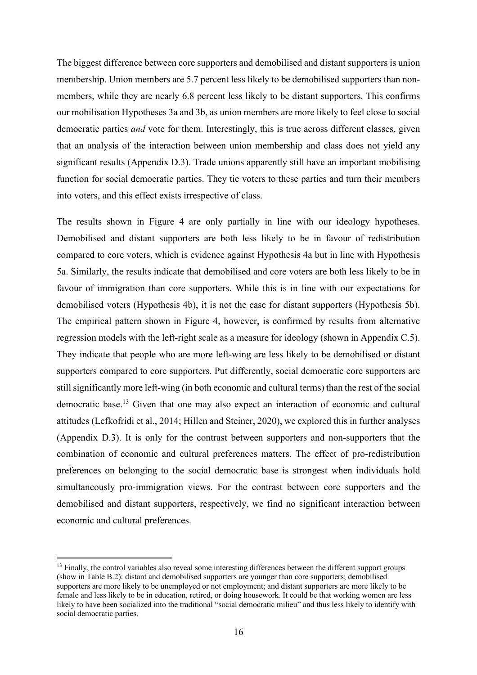The biggest difference between core supporters and demobilised and distant supporters is union membership. Union members are 5.7 percent less likely to be demobilised supporters than nonmembers, while they are nearly 6.8 percent less likely to be distant supporters. This confirms our mobilisation Hypotheses 3a and 3b, as union members are more likely to feel close to social democratic parties *and* vote for them. Interestingly, this is true across different classes, given that an analysis of the interaction between union membership and class does not yield any significant results (Appendix D.3). Trade unions apparently still have an important mobilising function for social democratic parties. They tie voters to these parties and turn their members into voters, and this effect exists irrespective of class.

The results shown in Figure 4 are only partially in line with our ideology hypotheses. Demobilised and distant supporters are both less likely to be in favour of redistribution compared to core voters, which is evidence against Hypothesis 4a but in line with Hypothesis 5a. Similarly, the results indicate that demobilised and core voters are both less likely to be in favour of immigration than core supporters. While this is in line with our expectations for demobilised voters (Hypothesis 4b), it is not the case for distant supporters (Hypothesis 5b). The empirical pattern shown in Figure 4, however, is confirmed by results from alternative regression models with the left-right scale as a measure for ideology (shown in Appendix C.5). They indicate that people who are more left-wing are less likely to be demobilised or distant supporters compared to core supporters. Put differently, social democratic core supporters are still significantly more left-wing (in both economic and cultural terms) than the rest of the social democratic base.13 Given that one may also expect an interaction of economic and cultural attitudes (Lefkofridi et al., 2014; Hillen and Steiner, 2020), we explored this in further analyses (Appendix D.3). It is only for the contrast between supporters and non-supporters that the combination of economic and cultural preferences matters. The effect of pro-redistribution preferences on belonging to the social democratic base is strongest when individuals hold simultaneously pro-immigration views. For the contrast between core supporters and the demobilised and distant supporters, respectively, we find no significant interaction between economic and cultural preferences.

<sup>&</sup>lt;sup>13</sup> Finally, the control variables also reveal some interesting differences between the different support groups (show in Table B.2): distant and demobilised supporters are younger than core supporters; demobilised supporters are more likely to be unemployed or not employment; and distant supporters are more likely to be female and less likely to be in education, retired, or doing housework. It could be that working women are less likely to have been socialized into the traditional "social democratic milieu" and thus less likely to identify with social democratic parties.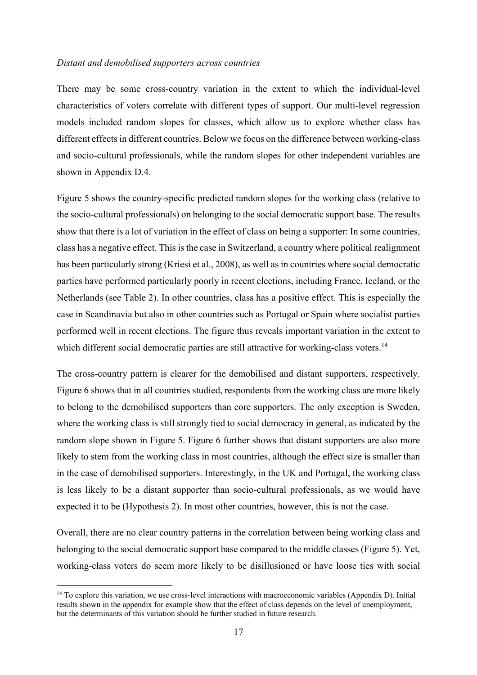#### *Distant and demobilised supporters across countries*

There may be some cross-country variation in the extent to which the individual-level characteristics of voters correlate with different types of support. Our multi-level regression models included random slopes for classes, which allow us to explore whether class has different effects in different countries. Below we focus on the difference between working-class and socio-cultural professionals, while the random slopes for other independent variables are shown in Appendix D.4.

Figure 5 shows the country-specific predicted random slopes for the working class (relative to the socio-cultural professionals) on belonging to the social democratic support base. The results show that there is a lot of variation in the effect of class on being a supporter: In some countries, class has a negative effect. This is the case in Switzerland, a country where political realignment has been particularly strong (Kriesi et al., 2008), as well as in countries where social democratic parties have performed particularly poorly in recent elections, including France, Iceland, or the Netherlands (see Table 2). In other countries, class has a positive effect. This is especially the case in Scandinavia but also in other countries such as Portugal or Spain where socialist parties performed well in recent elections. The figure thus reveals important variation in the extent to which different social democratic parties are still attractive for working-class voters.<sup>14</sup>

The cross-country pattern is clearer for the demobilised and distant supporters, respectively. Figure 6 shows that in all countries studied, respondents from the working class are more likely to belong to the demobilised supporters than core supporters. The only exception is Sweden, where the working class is still strongly tied to social democracy in general, as indicated by the random slope shown in Figure 5. Figure 6 further shows that distant supporters are also more likely to stem from the working class in most countries, although the effect size is smaller than in the case of demobilised supporters. Interestingly, in the UK and Portugal, the working class is less likely to be a distant supporter than socio-cultural professionals, as we would have expected it to be (Hypothesis 2). In most other countries, however, this is not the case.

Overall, there are no clear country patterns in the correlation between being working class and belonging to the social democratic support base compared to the middle classes (Figure 5). Yet, working-class voters do seem more likely to be disillusioned or have loose ties with social

<sup>&</sup>lt;sup>14</sup> To explore this variation, we use cross-level interactions with macroeconomic variables (Appendix D). Initial results shown in the appendix for example show that the effect of class depends on the level of unemployment, but the determinants of this variation should be further studied in future research.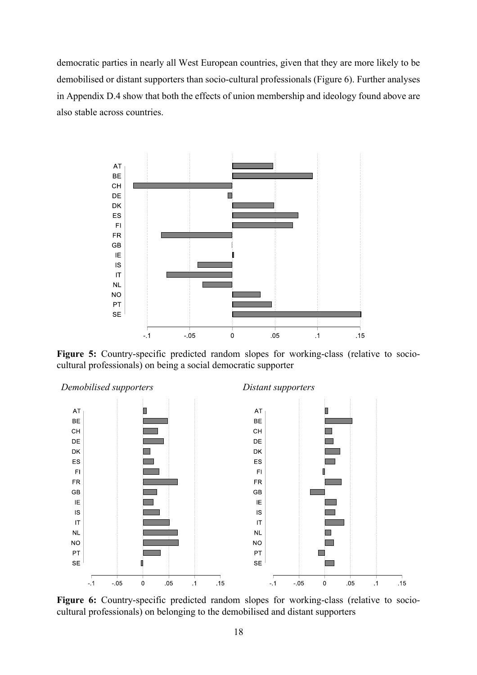democratic parties in nearly all West European countries, given that they are more likely to be demobilised or distant supporters than socio-cultural professionals (Figure 6). Further analyses in Appendix D.4 show that both the effects of union membership and ideology found above are also stable across countries.



**Figure 5:** Country-specific predicted random slopes for working-class (relative to sociocultural professionals) on being a social democratic supporter



**Figure 6:** Country-specific predicted random slopes for working-class (relative to sociocultural professionals) on belonging to the demobilised and distant supporters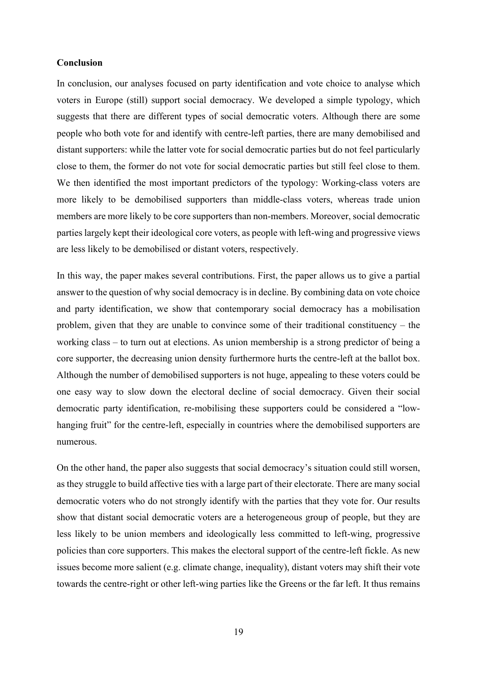## **Conclusion**

In conclusion, our analyses focused on party identification and vote choice to analyse which voters in Europe (still) support social democracy. We developed a simple typology, which suggests that there are different types of social democratic voters. Although there are some people who both vote for and identify with centre-left parties, there are many demobilised and distant supporters: while the latter vote for social democratic parties but do not feel particularly close to them, the former do not vote for social democratic parties but still feel close to them. We then identified the most important predictors of the typology: Working-class voters are more likely to be demobilised supporters than middle-class voters, whereas trade union members are more likely to be core supporters than non-members. Moreover, social democratic parties largely kept their ideological core voters, as people with left-wing and progressive views are less likely to be demobilised or distant voters, respectively.

In this way, the paper makes several contributions. First, the paper allows us to give a partial answer to the question of why social democracy is in decline. By combining data on vote choice and party identification, we show that contemporary social democracy has a mobilisation problem, given that they are unable to convince some of their traditional constituency – the working class – to turn out at elections. As union membership is a strong predictor of being a core supporter, the decreasing union density furthermore hurts the centre-left at the ballot box. Although the number of demobilised supporters is not huge, appealing to these voters could be one easy way to slow down the electoral decline of social democracy. Given their social democratic party identification, re-mobilising these supporters could be considered a "lowhanging fruit" for the centre-left, especially in countries where the demobilised supporters are numerous.

On the other hand, the paper also suggests that social democracy's situation could still worsen, as they struggle to build affective ties with a large part of their electorate. There are many social democratic voters who do not strongly identify with the parties that they vote for. Our results show that distant social democratic voters are a heterogeneous group of people, but they are less likely to be union members and ideologically less committed to left-wing, progressive policies than core supporters. This makes the electoral support of the centre-left fickle. As new issues become more salient (e.g. climate change, inequality), distant voters may shift their vote towards the centre-right or other left-wing parties like the Greens or the far left. It thus remains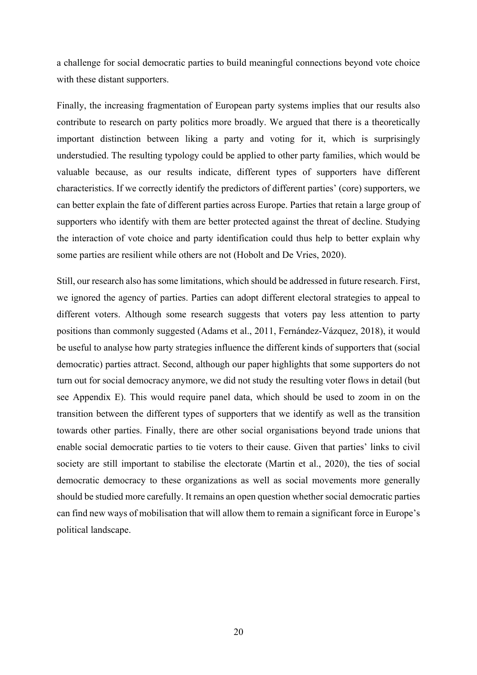a challenge for social democratic parties to build meaningful connections beyond vote choice with these distant supporters.

Finally, the increasing fragmentation of European party systems implies that our results also contribute to research on party politics more broadly. We argued that there is a theoretically important distinction between liking a party and voting for it, which is surprisingly understudied. The resulting typology could be applied to other party families, which would be valuable because, as our results indicate, different types of supporters have different characteristics. If we correctly identify the predictors of different parties' (core) supporters, we can better explain the fate of different parties across Europe. Parties that retain a large group of supporters who identify with them are better protected against the threat of decline. Studying the interaction of vote choice and party identification could thus help to better explain why some parties are resilient while others are not (Hobolt and De Vries, 2020).

Still, our research also has some limitations, which should be addressed in future research. First, we ignored the agency of parties. Parties can adopt different electoral strategies to appeal to different voters. Although some research suggests that voters pay less attention to party positions than commonly suggested (Adams et al., 2011, Fernández-Vázquez, 2018), it would be useful to analyse how party strategies influence the different kinds of supporters that (social democratic) parties attract. Second, although our paper highlights that some supporters do not turn out for social democracy anymore, we did not study the resulting voter flows in detail (but see Appendix E). This would require panel data, which should be used to zoom in on the transition between the different types of supporters that we identify as well as the transition towards other parties. Finally, there are other social organisations beyond trade unions that enable social democratic parties to tie voters to their cause. Given that parties' links to civil society are still important to stabilise the electorate (Martin et al., 2020), the ties of social democratic democracy to these organizations as well as social movements more generally should be studied more carefully. It remains an open question whether social democratic parties can find new ways of mobilisation that will allow them to remain a significant force in Europe's political landscape.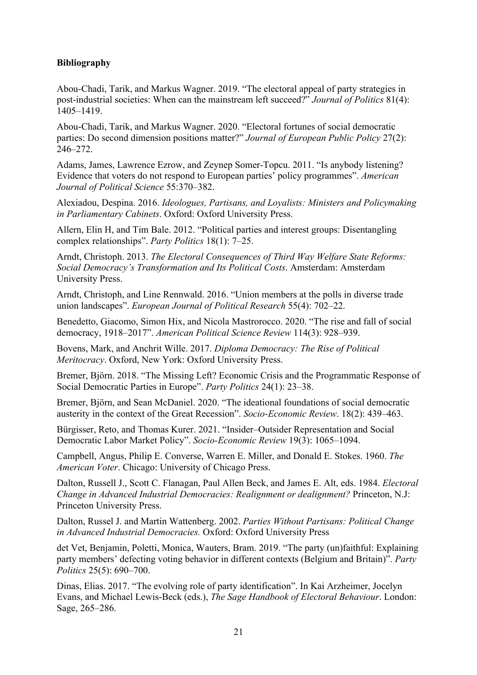## **Bibliography**

Abou-Chadi, Tarik, and Markus Wagner. 2019. "The electoral appeal of party strategies in post-industrial societies: When can the mainstream left succeed?" *Journal of Politics* 81(4): 1405–1419.

Abou-Chadi, Tarik, and Markus Wagner. 2020. "Electoral fortunes of social democratic parties: Do second dimension positions matter?" *Journal of European Public Policy* 27(2): 246–272.

Adams, James, Lawrence Ezrow, and Zeynep Somer-Topcu. 2011. "Is anybody listening? Evidence that voters do not respond to European parties' policy programmes". *American Journal of Political Science* 55:370–382.

Alexiadou, Despina. 2016. *Ideologues, Partisans, and Loyalists: Ministers and Policymaking in Parliamentary Cabinets*. Oxford: Oxford University Press.

Allern, Elin H, and Tim Bale. 2012. "Political parties and interest groups: Disentangling complex relationships". *Party Politics* 18(1): 7–25.

Arndt, Christoph. 2013. *The Electoral Consequences of Third Way Welfare State Reforms: Social Democracy's Transformation and Its Political Costs*. Amsterdam: Amsterdam University Press.

Arndt, Christoph, and Line Rennwald. 2016. "Union members at the polls in diverse trade union landscapes". *European Journal of Political Research* 55(4): 702–22.

Benedetto, Giacomo, Simon Hix, and Nicola Mastrorocco. 2020. "The rise and fall of social democracy, 1918–2017". *American Political Science Review* 114(3): 928–939.

Bovens, Mark, and Anchrit Wille. 2017. *Diploma Democracy: The Rise of Political Meritocracy*. Oxford, New York: Oxford University Press.

Bremer, Björn. 2018. "The Missing Left? Economic Crisis and the Programmatic Response of Social Democratic Parties in Europe". *Party Politics* 24(1): 23–38.

Bremer, Björn, and Sean McDaniel. 2020. "The ideational foundations of social democratic austerity in the context of the Great Recession". *Socio-Economic Review*. 18(2): 439–463.

Bürgisser, Reto, and Thomas Kurer. 2021. "Insider–Outsider Representation and Social Democratic Labor Market Policy". *Socio-Economic Review* 19(3): 1065–1094.

Campbell, Angus, Philip E. Converse, Warren E. Miller, and Donald E. Stokes. 1960. *The American Voter*. Chicago: University of Chicago Press.

Dalton, Russell J., Scott C. Flanagan, Paul Allen Beck, and James E. Alt, eds. 1984. *Electoral Change in Advanced Industrial Democracies: Realignment or dealignment?* Princeton, N.J: Princeton University Press.

Dalton, Russel J. and Martin Wattenberg. 2002. *Parties Without Partisans: Political Change in Advanced Industrial Democracies.* Oxford: Oxford University Press

det Vet, Benjamin, Poletti, Monica, Wauters, Bram. 2019. "The party (un)faithful: Explaining party members' defecting voting behavior in different contexts (Belgium and Britain)". *Party Politics* 25(5): 690–700.

Dinas, Elias. 2017. "The evolving role of party identification". In Kai Arzheimer, Jocelyn Evans, and Michael Lewis-Beck (eds.), *The Sage Handbook of Electoral Behaviour*. London: Sage, 265–286.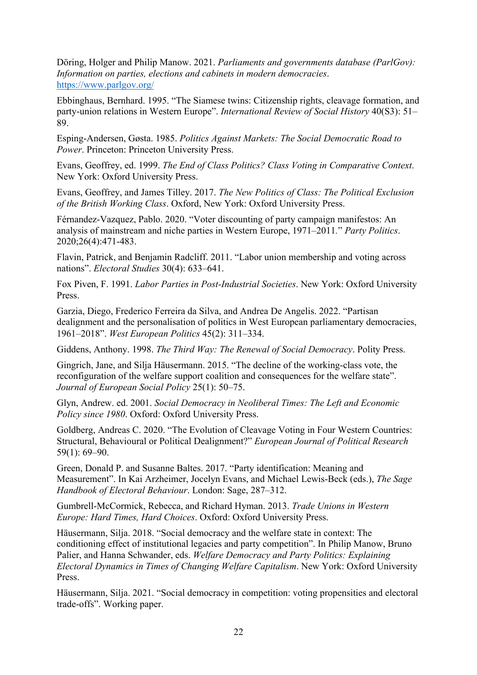Döring, Holger and Philip Manow. 2021. *Parliaments and governments database (ParlGov): Information on parties, elections and cabinets in modern democracies*. https://www.parlgov.org/

Ebbinghaus, Bernhard. 1995. "The Siamese twins: Citizenship rights, cleavage formation, and party-union relations in Western Europe". *International Review of Social History* 40(S3): 51– 89.

Esping-Andersen, Gøsta. 1985. *Politics Against Markets: The Social Democratic Road to Power*. Princeton: Princeton University Press.

Evans, Geoffrey, ed. 1999. *The End of Class Politics? Class Voting in Comparative Context*. New York: Oxford University Press.

Evans, Geoffrey, and James Tilley. 2017. *The New Politics of Class: The Political Exclusion of the British Working Class*. Oxford, New York: Oxford University Press.

Férnandez-Vazquez, Pablo. 2020. "Voter discounting of party campaign manifestos: An analysis of mainstream and niche parties in Western Europe, 1971–2011*.*" *Party Politics*. 2020;26(4):471-483.

Flavin, Patrick, and Benjamin Radcliff. 2011. "Labor union membership and voting across nations". *Electoral Studies* 30(4): 633–641.

Fox Piven, F. 1991. *Labor Parties in Post-Industrial Societies*. New York: Oxford University Press.

Garzia, Diego, Frederico Ferreira da Silva, and Andrea De Angelis. 2022. "Partisan dealignment and the personalisation of politics in West European parliamentary democracies, 1961–2018". *West European Politics* 45(2): 311–334.

Giddens, Anthony. 1998. *The Third Way: The Renewal of Social Democracy*. Polity Press.

Gingrich, Jane, and Silja Häusermann. 2015. "The decline of the working-class vote, the reconfiguration of the welfare support coalition and consequences for the welfare state". *Journal of European Social Policy* 25(1): 50–75.

Glyn, Andrew. ed. 2001. *Social Democracy in Neoliberal Times: The Left and Economic Policy since 1980*. Oxford: Oxford University Press.

Goldberg, Andreas C. 2020. "The Evolution of Cleavage Voting in Four Western Countries: Structural, Behavioural or Political Dealignment?" *European Journal of Political Research* 59(1): 69–90.

Green, Donald P. and Susanne Baltes. 2017. "Party identification: Meaning and Measurement". In Kai Arzheimer, Jocelyn Evans, and Michael Lewis-Beck (eds.), *The Sage Handbook of Electoral Behaviour*. London: Sage, 287–312.

Gumbrell-McCormick, Rebecca, and Richard Hyman. 2013. *Trade Unions in Western Europe: Hard Times, Hard Choices*. Oxford: Oxford University Press.

Häusermann, Silja. 2018. "Social democracy and the welfare state in context: The conditioning effect of institutional legacies and party competition". In Philip Manow, Bruno Palier, and Hanna Schwander, eds. *Welfare Democracy and Party Politics: Explaining Electoral Dynamics in Times of Changing Welfare Capitalism*. New York: Oxford University Press.

Häusermann, Silja. 2021. "Social democracy in competition: voting propensities and electoral trade-offs". Working paper.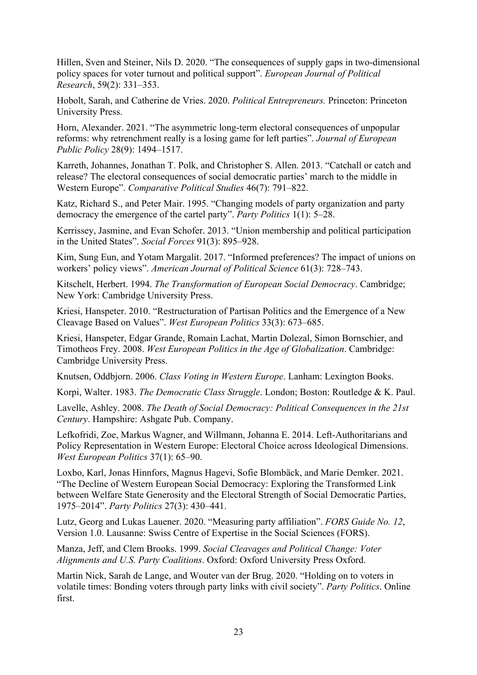Hillen, Sven and Steiner, Nils D. 2020. "The consequences of supply gaps in two-dimensional policy spaces for voter turnout and political support". *European Journal of Political Research*, 59(2): 331–353.

Hobolt, Sarah, and Catherine de Vries. 2020. *Political Entrepreneurs.* Princeton: Princeton University Press.

Horn, Alexander. 2021. "The asymmetric long-term electoral consequences of unpopular reforms: why retrenchment really is a losing game for left parties". *Journal of European Public Policy* 28(9): 1494–1517.

Karreth, Johannes, Jonathan T. Polk, and Christopher S. Allen. 2013. "Catchall or catch and release? The electoral consequences of social democratic parties' march to the middle in Western Europe". *Comparative Political Studies* 46(7): 791–822.

Katz, Richard S., and Peter Mair. 1995. "Changing models of party organization and party democracy the emergence of the cartel party". *Party Politics* 1(1): 5–28.

Kerrissey, Jasmine, and Evan Schofer. 2013. "Union membership and political participation in the United States". *Social Forces* 91(3): 895–928.

Kim, Sung Eun, and Yotam Margalit. 2017. "Informed preferences? The impact of unions on workers' policy views". *American Journal of Political Science* 61(3): 728–743.

Kitschelt, Herbert. 1994. *The Transformation of European Social Democracy*. Cambridge; New York: Cambridge University Press.

Kriesi, Hanspeter. 2010. "Restructuration of Partisan Politics and the Emergence of a New Cleavage Based on Values". *West European Politics* 33(3): 673–685.

Kriesi, Hanspeter, Edgar Grande, Romain Lachat, Martin Dolezal, Simon Bornschier, and Timotheos Frey. 2008. *West European Politics in the Age of Globalization*. Cambridge: Cambridge University Press.

Knutsen, Oddbjorn. 2006. *Class Voting in Western Europe*. Lanham: Lexington Books.

Korpi, Walter. 1983. *The Democratic Class Struggle*. London; Boston: Routledge & K. Paul.

Lavelle, Ashley. 2008. *The Death of Social Democracy: Political Consequences in the 21st Century*. Hampshire: Ashgate Pub. Company.

Lefkofridi, Zoe, Markus Wagner, and Willmann, Johanna E. 2014. Left-Authoritarians and Policy Representation in Western Europe: Electoral Choice across Ideological Dimensions. *West European Politics* 37(1): 65–90.

Loxbo, Karl, Jonas Hinnfors, Magnus Hagevi, Sofie Blombäck, and Marie Demker. 2021. "The Decline of Western European Social Democracy: Exploring the Transformed Link between Welfare State Generosity and the Electoral Strength of Social Democratic Parties, 1975–2014". *Party Politics* 27(3): 430–441.

Lutz, Georg and Lukas Lauener. 2020. "Measuring party affiliation". *FORS Guide No. 12*, Version 1.0. Lausanne: Swiss Centre of Expertise in the Social Sciences (FORS).

Manza, Jeff, and Clem Brooks. 1999. *Social Cleavages and Political Change: Voter Alignments and U.S. Party Coalitions*. Oxford: Oxford University Press Oxford.

Martin Nick, Sarah de Lange, and Wouter van der Brug. 2020. "Holding on to voters in volatile times: Bonding voters through party links with civil society". *Party Politics*. Online first.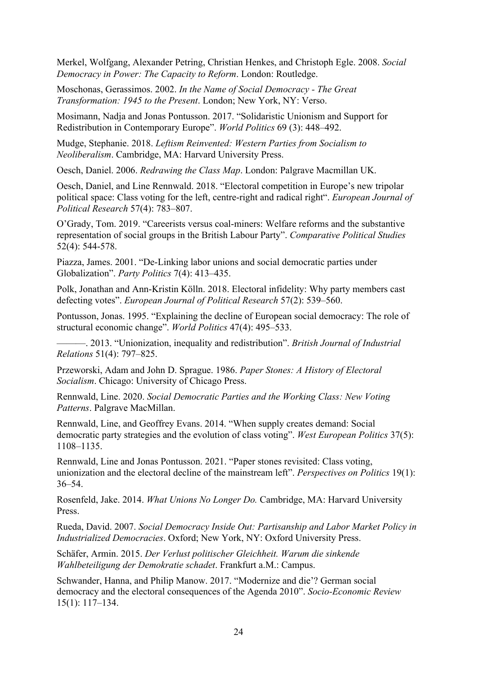Merkel, Wolfgang, Alexander Petring, Christian Henkes, and Christoph Egle. 2008. *Social Democracy in Power: The Capacity to Reform*. London: Routledge.

Moschonas, Gerassimos. 2002. *In the Name of Social Democracy - The Great Transformation: 1945 to the Present*. London; New York, NY: Verso.

Mosimann, Nadja and Jonas Pontusson. 2017. "Solidaristic Unionism and Support for Redistribution in Contemporary Europe". *World Politics* 69 (3): 448–492.

Mudge, Stephanie. 2018. *Leftism Reinvented: Western Parties from Socialism to Neoliberalism*. Cambridge, MA: Harvard University Press.

Oesch, Daniel. 2006. *Redrawing the Class Map*. London: Palgrave Macmillan UK.

Oesch, Daniel, and Line Rennwald. 2018. "Electoral competition in Europe's new tripolar political space: Class voting for the left, centre-right and radical right". *European Journal of Political Research* 57(4): 783–807.

O'Grady, Tom. 2019. "Careerists versus coal-miners: Welfare reforms and the substantive representation of social groups in the British Labour Party". *Comparative Political Studies*  52(4): 544-578.

Piazza, James. 2001. "De-Linking labor unions and social democratic parties under Globalization". *Party Politics* 7(4): 413–435.

Polk, Jonathan and Ann-Kristin Kölln. 2018. Electoral infidelity: Why party members cast defecting votes". *European Journal of Political Research* 57(2): 539–560.

Pontusson, Jonas. 1995. "Explaining the decline of European social democracy: The role of structural economic change". *World Politics* 47(4): 495–533.

———. 2013. "Unionization, inequality and redistribution". *British Journal of Industrial Relations* 51(4): 797–825.

Przeworski, Adam and John D. Sprague. 1986. *Paper Stones: A History of Electoral Socialism*. Chicago: University of Chicago Press.

Rennwald, Line. 2020. *Social Democratic Parties and the Working Class: New Voting Patterns*. Palgrave MacMillan.

Rennwald, Line, and Geoffrey Evans. 2014. "When supply creates demand: Social democratic party strategies and the evolution of class voting". *West European Politics* 37(5): 1108–1135.

Rennwald, Line and Jonas Pontusson. 2021. "Paper stones revisited: Class voting, unionization and the electoral decline of the mainstream left". *Perspectives on Politics* 19(1): 36–54.

Rosenfeld, Jake. 2014. *What Unions No Longer Do.* Cambridge, MA: Harvard University Press.

Rueda, David. 2007. *Social Democracy Inside Out: Partisanship and Labor Market Policy in Industrialized Democracies*. Oxford; New York, NY: Oxford University Press.

Schäfer, Armin. 2015. *Der Verlust politischer Gleichheit. Warum die sinkende Wahlbeteiligung der Demokratie schadet*. Frankfurt a.M.: Campus.

Schwander, Hanna, and Philip Manow. 2017. "Modernize and die'? German social democracy and the electoral consequences of the Agenda 2010". *Socio-Economic Review* 15(1): 117–134.